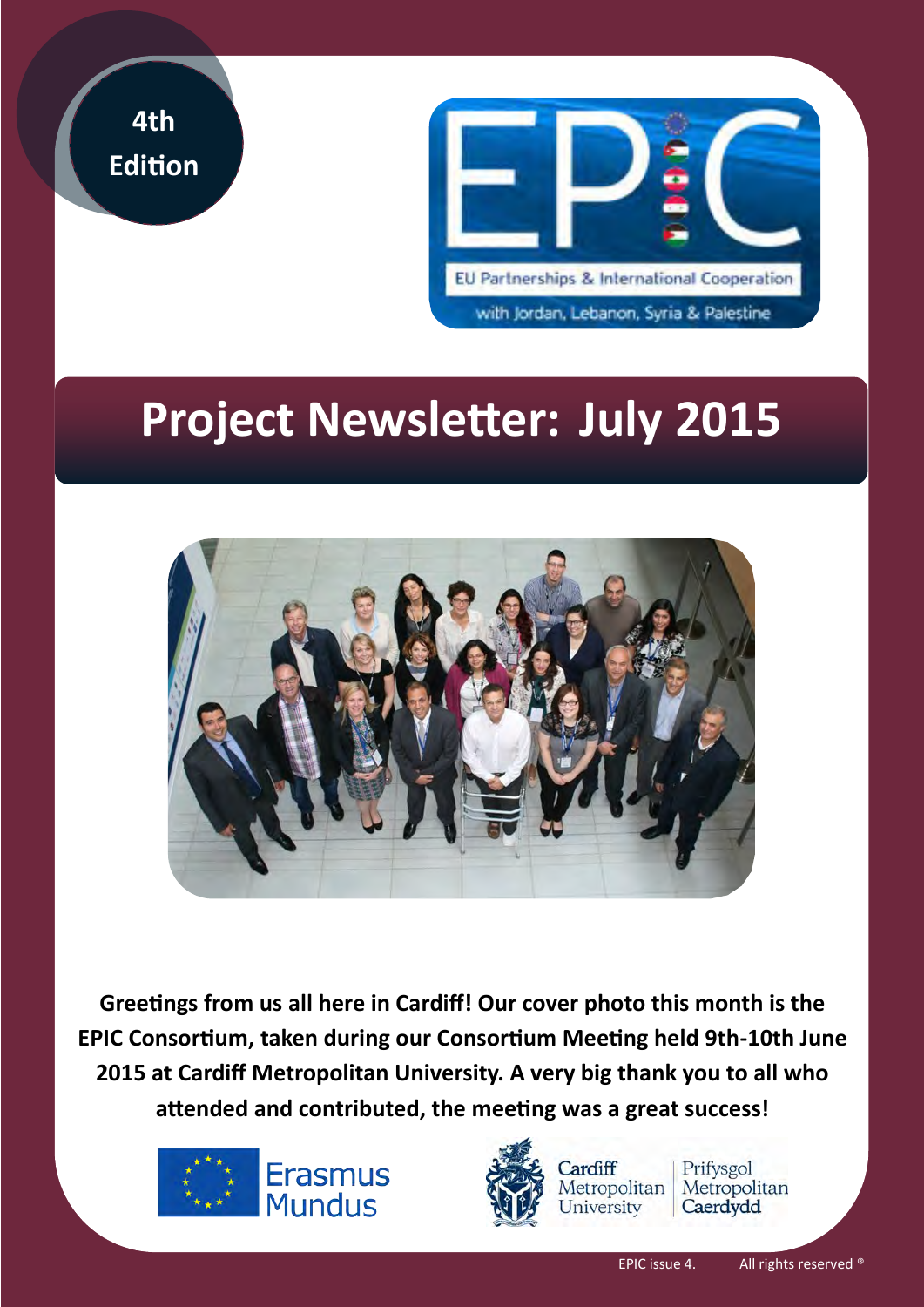



# **Project Newsletter: July 2015**



**Greetings from us all here in Cardiff! Our cover photo this month is the EPIC Consortium, taken during our Consortium Meeting held 9th-10th June 2015 at Cardiff Metropolitan University. A very big thank you to all who attended and contributed, the meeting was a great success!** 





Prifysgol Metropolitan Metropolitan Caerdydd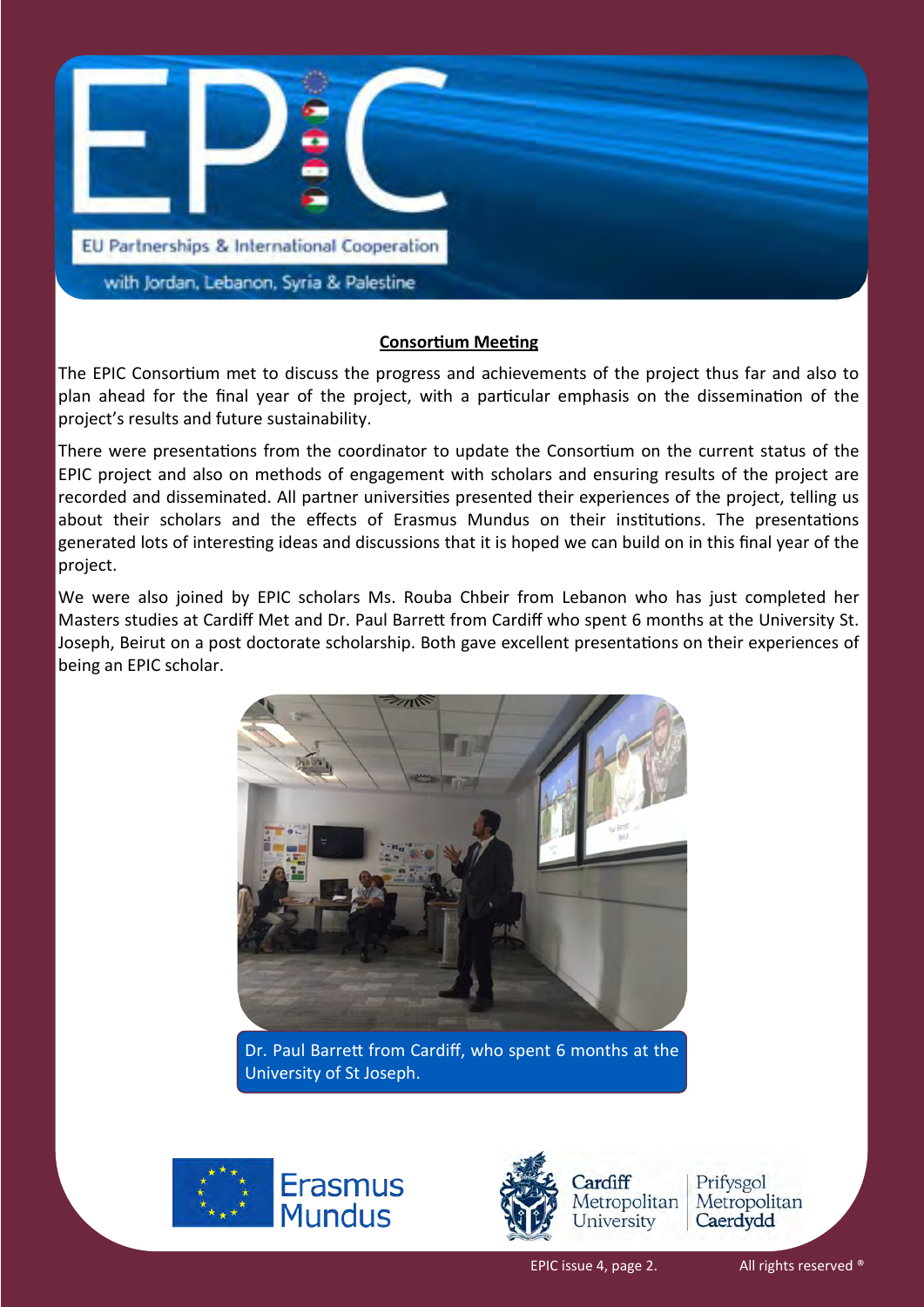

#### **Consortium Meeting**

The EPIC Consortium met to discuss the progress and achievements of the project thus far and also to plan ahead for the final year of the project, with a particular emphasis on the dissemination of the project's results and future sustainability.

There were presentations from the coordinator to update the Consortium on the current status of the EPIC project and also on methods of engagement with scholars and ensuring results of the project are recorded and disseminated. All partner universities presented their experiences of the project, telling us about their scholars and the effects of Erasmus Mundus on their institutions. The presentations generated lots of interesting ideas and discussions that it is hoped we can build on in this final year of the project.

We were also joined by EPIC scholars Ms. Rouba Chbeir from Lebanon who has just completed her Masters studies at Cardiff Met and Dr. Paul Barrett from Cardiff who spent 6 months at the University St. Joseph, Beirut on a post doctorate scholarship. Both gave excellent presentations on their experiences of being an EPIC scholar.



Dr. Paul Barrett from Cardiff, who spent 6 months at the University of St Joseph.





Prifysgol Metropolitan Caerdydd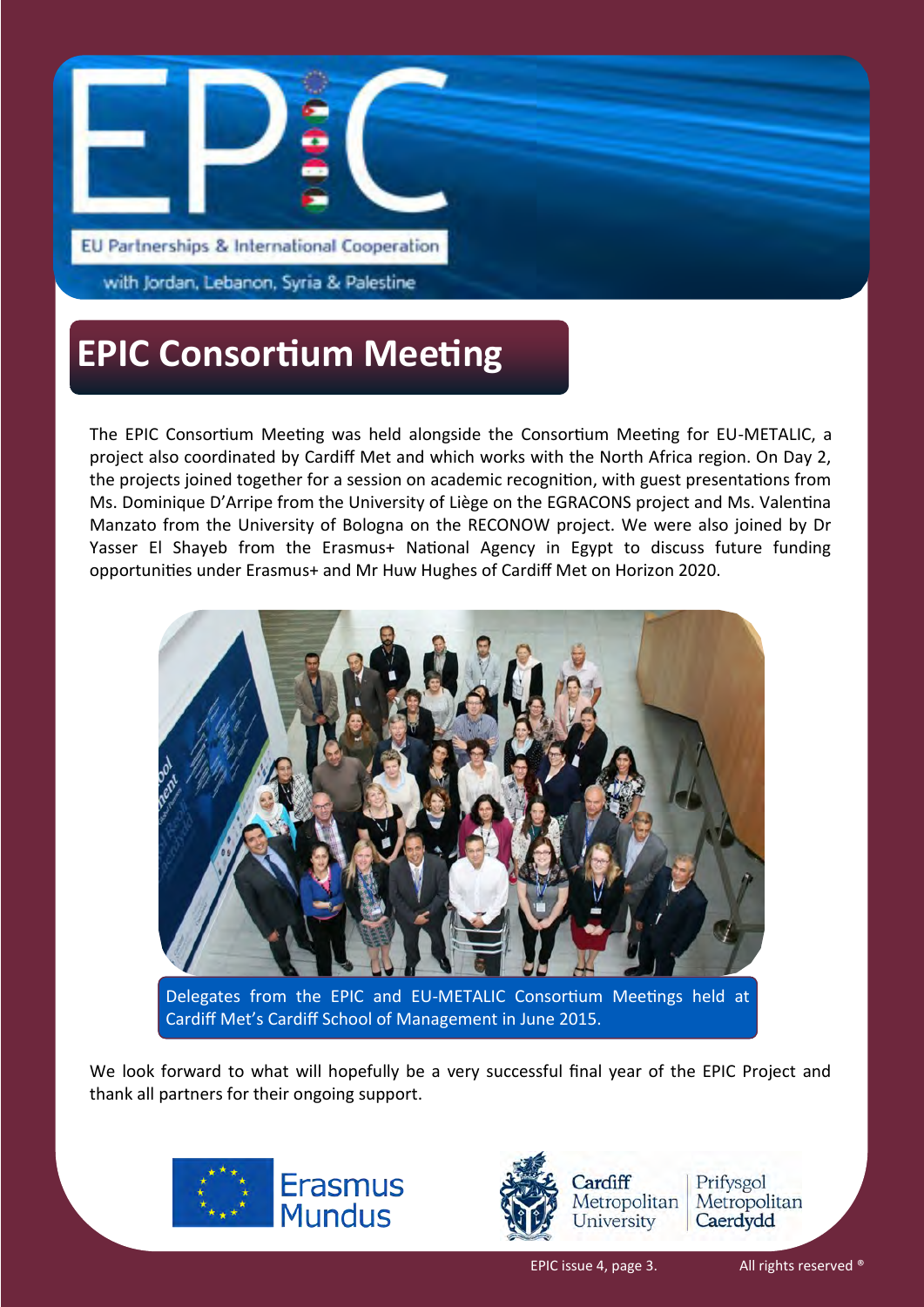

with Jordan, Lebanon, Syria & Palestine

#### **EPIC Consortium Meeting**

The EPIC Consortium Meeting was held alongside the Consortium Meeting for EU-METALIC, a project also coordinated by Cardiff Met and which works with the North Africa region. On Day 2, the projects joined together for a session on academic recognition, with guest presentations from Ms. Dominique D'Arripe from the University of Liège on the EGRACONS project and Ms. Valentina Manzato from the University of Bologna on the RECONOW project. We were also joined by Dr Yasser El Shayeb from the Erasmus+ National Agency in Egypt to discuss future funding opportunities under Erasmus+ and Mr Huw Hughes of Cardiff Met on Horizon 2020.



Delegates from the EPIC and EU-METALIC Consortium Meetings held at Cardiff Met's Cardiff School of Management in June 2015.

We look forward to what will hopefully be a very successful final year of the EPIC Project and thank all partners for their ongoing support.



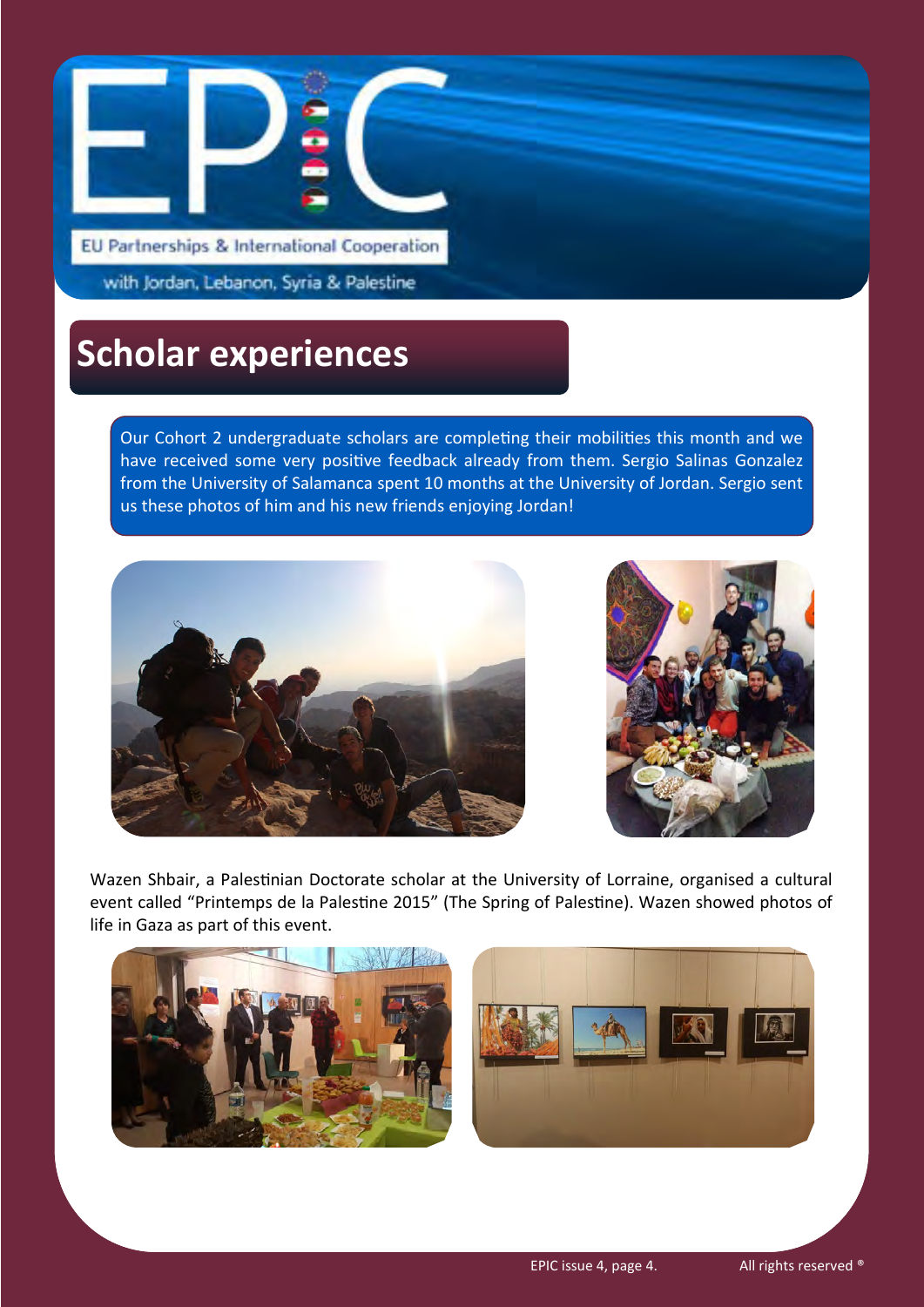

with Jordan, Lebanon, Syria & Palestine

### **Scholar experiences**

Our Cohort 2 undergraduate scholars are completing their mobilities this month and we have received some very positive feedback already from them. Sergio Salinas Gonzalez from the University of Salamanca spent 10 months at the University of Jordan. Sergio sent us these photos of him and his new friends enjoying Jordan!





Wazen Shbair, a Palestinian Doctorate scholar at the University of Lorraine, organised a cultural event called "Printemps de la Palestine 2015" (The Spring of Palestine). Wazen showed photos of life in Gaza as part of this event.



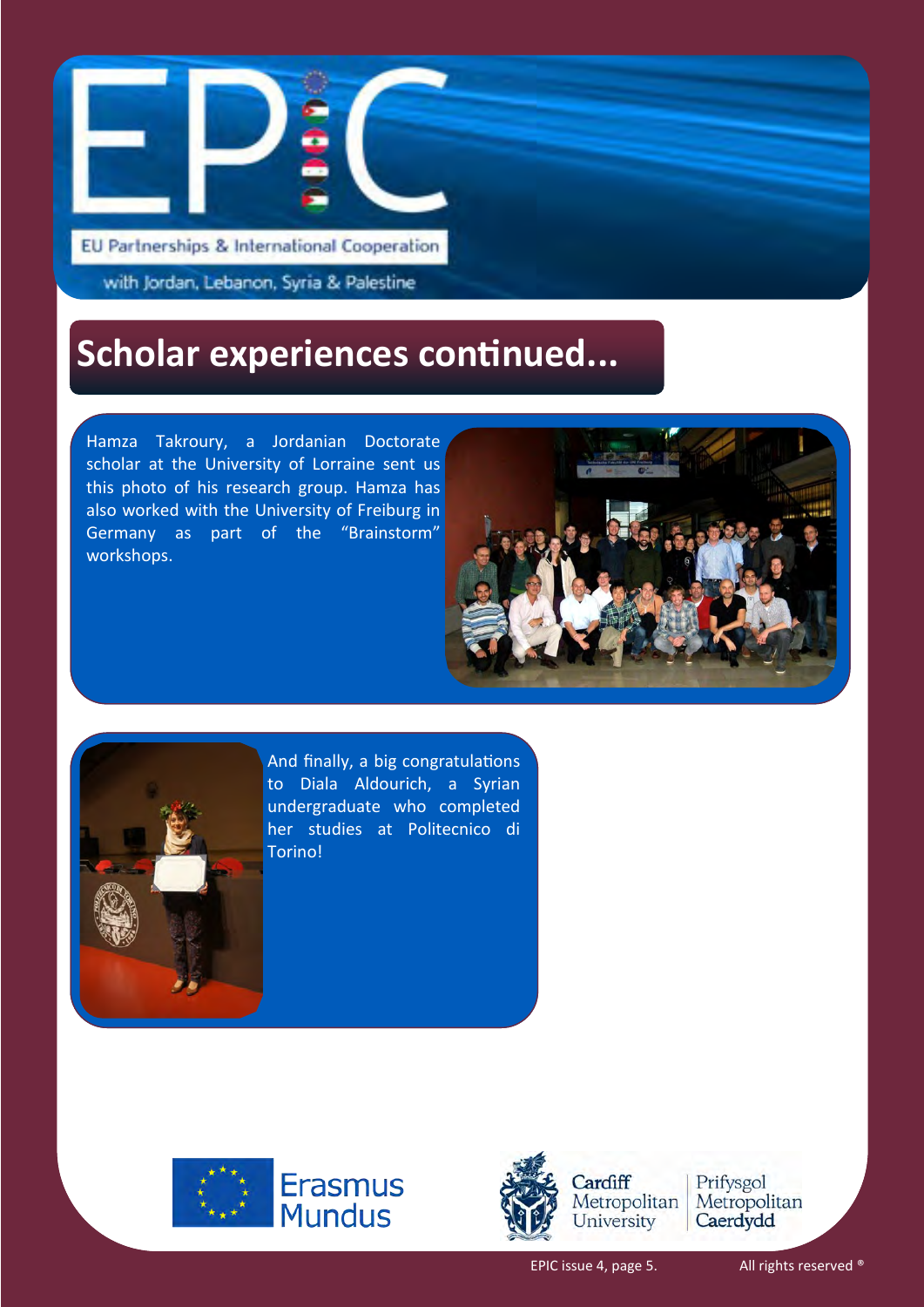

with Jordan, Lebanon, Syria & Palestine

### **Scholar experiences continued...**

Hamza Takroury, a Jordanian Doctorate scholar at the University of Lorraine sent us this photo of his research group. Hamza has also worked with the University of Freiburg in Germany as part of the "Brainstorm" workshops.





And finally, a big congratulations to Diala Aldourich, a Syrian undergraduate who completed her studies at Politecnico di Torino!





Prifysgol Metropolitan Caerdydd

EPIC issue 4, page 5. All rights reserved ®